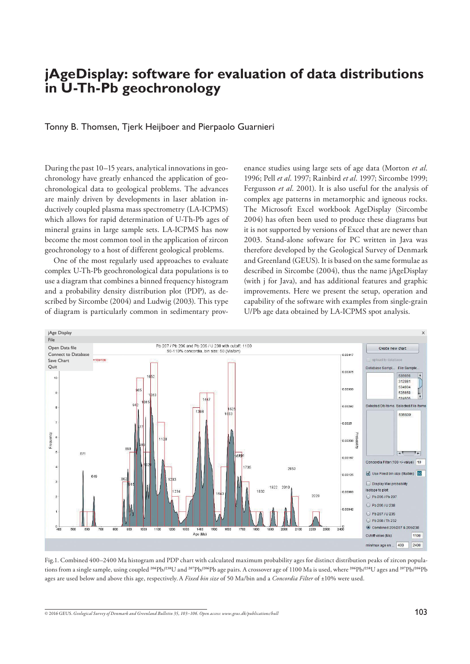# **jAgeDisplay: software for evaluation of data distributions in U-Th-Pb geochronology**

### Tonny B. Thomsen, Tjerk Heijboer and Pierpaolo Guarnieri

During the past 10–15 years, analytical innovations in geochronology have greatly enhanced the application of geochronological data to geological problems. The advances are mainly driven by developments in laser ablation inductively coupled plasma mass spectrometry (LA-ICPMS) which allows for rapid determination of U-Th-Pb ages of mineral grains in large sample sets. LA-ICPMS has now become the most common tool in the application of zircon geochronology to a host of different geological problems.

 One of the most regularly used approaches to evaluate complex U-Th-Pb geochronological data populations is to use a diagram that combines a binned frequency histogram and a probability density distribution plot (PDP), as described by Sircombe (2004) and Ludwig (2003). This type of diagram is particularly common in sedimentary prov-

enance studies using large sets of age data (Morton *et al*. 1996; Pell *et al*. 1997; Rainbird *et al*. 1997; Sircombe 1999; Fergusson *et al*. 2001). It is also useful for the analysis of complex age patterns in metamorphic and igneous rocks. The Microsoft Excel workbook AgeDisplay (Sircombe 2004) has often been used to produce these diagrams but it is not supported by versions of Excel that are newer than 2003. Stand-alone software for PC written in Java was therefore developed by the Geological Survey of Denmark and Greenland (GEUS). It is based on the same formulae as described in Sircombe (2004), thus the name jAgeDisplay (with j for Java), and has additional features and graphic improvements. Here we present the setup, operation and capability of the software with examples from single-grain U/Pb age data obtained by LA-ICPMS spot analysis.



Fig.1. Combined 400–2400 Ma histogram and PDP chart with calculated maximum probability ages for distinct distribution peaks of zircon populations from a single sample, using coupled <sup>206</sup>Pb/2<sup>38</sup>U and <sup>207</sup>Pb/<sup>206</sup>Pb age pairs. A crossover age of 1100 Ma is used, where <sup>206</sup>Pb/<sup>238</sup>U ages and <sup>207</sup>Pb/<sup>206</sup>Pb ages are used below and above this age, respectively.A *Fixed bin size* of 50 Ma/bin and a *Concordia Filter* of ±10% were used.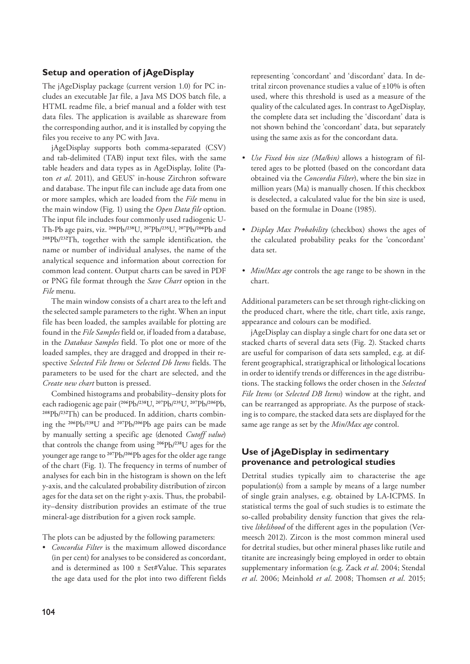## **Setup and operation of jAgeDisplay**

The jAgeDisplay package (current version 1.0) for PC includes an executable Jar file, a Java MS DOS batch file, a HTML readme file, a brief manual and a folder with test data files. The application is available as shareware from the corresponding author, and it is installed by copying the files you receive to any PC with Java.

 jAgeDisplay supports both comma-separated (CSV) and tab-delimited (TAB) input text files, with the same table headers and data types as in AgeDisplay, Iolite (Paton *et al*. 2011), and GEUS' in-house Zirchron software and database. The input file can include age data from one or more samples, which are loaded from the *File* menu in the main window (Fig. 1) using the *Open Data file* option. The input file includes four commonly used radiogenic U-Th-Pb age pairs, viz. 206Pb/238U, 207Pb/235U, 207Pb/206Pb and <sup>208</sup>Pb/<sup>232</sup>Th, together with the sample identification, the name or number of individual analyses, the name of the analytical sequence and information about correction for common lead content. Output charts can be saved in PDF or PNG file format through the *Save Chart* option in the *File* menu.

 The main window consists of a chart area to the left and the selected sample parameters to the right. When an input file has been loaded, the samples available for plotting are found in the *File Samples* field or, if loaded from a database, in the *Database Samples* field. To plot one or more of the loaded samples, they are dragged and dropped in their respective *Selected File Items* or *Selected Db Items* fields. The parameters to be used for the chart are selected, and the *Create new chart* button is pressed.

 Combined histograms and probability–density plots for each radiogenic age pair (206Pb/238U, 207Pb/235U, 207Pb/206Pb, 208Pb/232Th) can be produced. In addition, charts combining the <sup>206</sup>Pb/<sup>238</sup>U and <sup>207</sup>Pb/<sup>206</sup>Pb age pairs can be made by manually setting a specific age (denoted *Cutoff value*) that controls the change from using <sup>206</sup>Pb/<sup>238</sup>U ages for the younger age range to <sup>207</sup>Pb/<sup>206</sup>Pb ages for the older age range of the chart (Fig. 1). The frequency in terms of number of analyses for each bin in the histogram is shown on the left y-axis, and the calculated probability distribution of zircon ages for the data set on the right y-axis. Thus, the probability–density distribution provides an estimate of the true mineral-age distribution for a given rock sample.

The plots can be adjusted by the following parameters:

• *Concordia Filter* is the maximum allowed discordance (in per cent) for analyses to be considered as concordant, and is determined as  $100 \pm$  Set#Value. This separates the age data used for the plot into two different fields representing 'concordant' and 'discordant' data. In detrital zircon provenance studies a value of ±10% is often used, where this threshold is used as a measure of the quality of the calculated ages. In contrast to AgeDisplay, the complete data set including the 'discordant' data is not shown behind the 'concordant' data, but separately using the same axis as for the concordant data.

- *Use Fixed bin size (Ma/bin)* allows a histogram of filtered ages to be plotted (based on the concordant data obtained via the *Concordia Filter*), where the bin size in million years (Ma) is manually chosen. If this checkbox is deselected, a calculated value for the bin size is used, based on the formulae in Doane (1985).
- *Display Max Probability* (checkbox) shows the ages of the calculated probability peaks for the 'concordant' data set.
- *Min/Max age* controls the age range to be shown in the chart.

Additional parameters can be set through right-clicking on the produced chart, where the title, chart title, axis range, appearance and colours can be modified.

 jAgeDisplay can display a single chart for one data set or stacked charts of several data sets (Fig. 2). Stacked charts are useful for comparison of data sets sampled, e.g. at different geographical, stratigraphical or lithological locations in order to identify trends or differences in the age distributions. The stacking follows the order chosen in the *Selected File Items* (or *Selected DB Items*) window at the right, and can be rearranged as appropriate. As the purpose of stacking is to compare, the stacked data sets are displayed for the same age range as set by the *Min/Max age* control.

## **Use of jAgeDisplay in sedimentary provenance and petrological studies**

Detrital studies typically aim to characterise the age population(s) from a sample by means of a large number of single grain analyses, e.g. obtained by LA-ICPMS. In statistical terms the goal of such studies is to estimate the so-called probability density function that gives the relative *likelihood* of the different ages in the population (Vermeesch 2012). Zircon is the most common mineral used for detrital studies, but other mineral phases like rutile and titanite are increasingly being employed in order to obtain supplementary information (e.g. Zack *et al*. 2004; Stendal *et al*. 2006; Meinhold *et al*. 2008; Thomsen *et al*. 2015;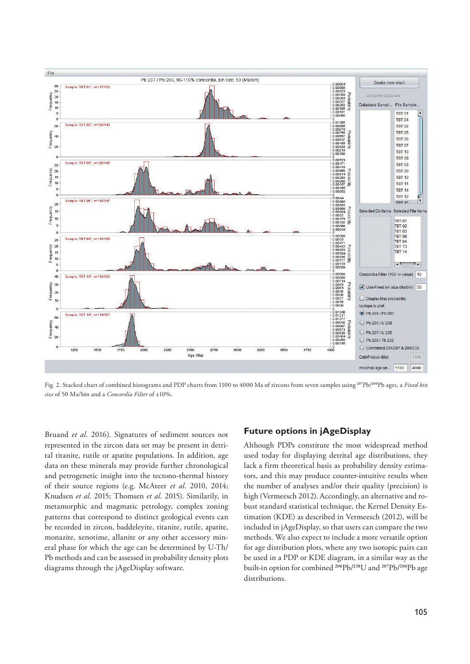

Fig. 2. Stacked chart of combined histograms and PDP charts from 1100 to 4000 Ma of zircons from seven samples using <sup>207</sup>Pb/<sup>206</sup>Pb ages, a *Fixed bin size* of 50 Ma/bin and a *Concordia Filter* of ±10%.

Bruand *et al*. 2016). Signatures of sediment sources not represented in the zircon data set may be present in detrital titanite, rutile or apatite populations. In addition, age data on these minerals may provide further chronological and petrogenetic insight into the tectono-thermal history of their source regions (e.g. McAteer *et al*. 2010, 2014; Knudsen *et al*. 2015; Thomsen *et al*. 2015). Similarily, in metamorphic and magmatic petrology, complex zoning patterns that correspond to distinct geological events can be recorded in zircon, baddeleyite, titanite, rutile, apatite, monazite, xenotime, allanite or any other accessory mineral phase for which the age can be determined by U-Th/ Pb methods and can be assessed in probability density plots diagrams through the jAgeDisplay software.

### **Future options in jAgeDisplay**

Although PDPs constitute the most widespread method used today for displaying detrital age distributions, they lack a firm theoretical basis as probability density estimators, and this may produce counter-intuitive results when the number of analyses and/or their quality (precision) is high (Vermeesch 2012). Accordingly, an alternative and robust standard statistical technique, the Kernel Density Estimation (KDE) as described in Vermeesch (2012), will be included in jAgeDisplay, so that users can compare the two methods. We also expect to include a more versatile option for age distribution plots, where any two isotopic pairs can be used in a PDP or KDE diagram, in a similar way as the built-in option for combined <sup>206</sup>Pb/<sup>238</sup>U and <sup>207</sup>Pb/<sup>206</sup>Pb age distributions.